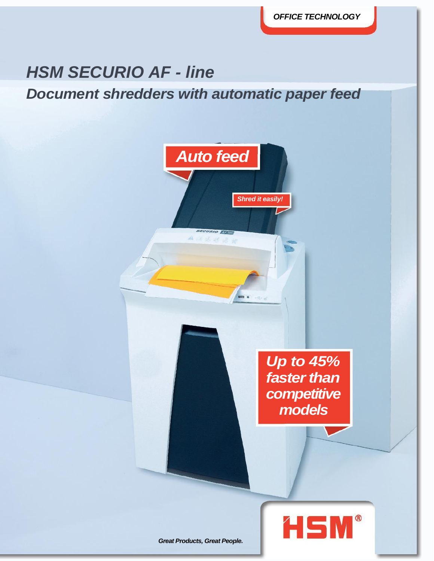*OFFICE TECHNOLOGY*

## *HSM SECURIO AF - line*

*Document shredders with automatic paper feed*

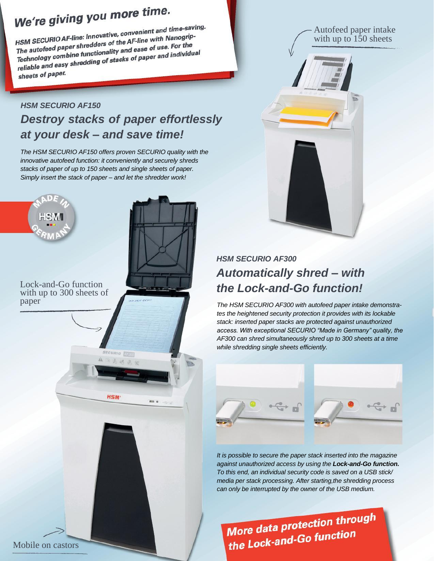# We're giving you more time.

We Te given by T<br>HSM SECURIO AF-line: Innovative, convenient and time-saving.<br>HSM SECURIO AF-line: Innovative, convenient and time-saving. HSM SECURIO AF-line: Innovative, convenient and time-sub-<br>The autofeed paper shredders of the AF-line with Nanogrip-<br>The autofeed paper shredders of the Age of use. For the HSM SECURIO Ar-line. information the AF-line with Nanogrip<br>The autofeed paper shredders of the AF-line with Nanogrip<br>Technology combine functionality and ease of use. For the<br>Technology combine functionality and ease of pa The autofeed paper sines and and ease of use. For the<br>Technology combine functionality and ease of use. For the<br>reliable and easy shredding of stacks of paper and individual<br>reliable and easy shredding of stacks of paper a sheets of paper.

### *HSM SECURIO AF150 Destroy stacks of paper effortlessly at your desk – and save time!*

*The HSM SECURIO AF150 offers proven SECURIO quality with the innovative autofeed function: it conveniently and securely shreds stacks of paper of up to 150 sheets and single sheets of paper. Simply insert the stack of paper – and let the shredder work!*





### *HSM SECURIO AF300 Automatically shred – with the Lock-and-Go function!*

*The HSM SECURIO AF300 with autofeed paper intake demonstrates the heightened security protection it provides with its lockable stack: inserted paper stacks are protected against unauthorized access. With exceptional SECURIO "Made in Germany" quality, the AF300 can shred simultaneously shred up to 300 sheets at a time while shredding single sheets efficiently.*



*It is possible to secure the paper stack inserted into the magazine against unauthorized access by using the Lock-and-Go function. To this end, an individual security code is saved on a USB stick/ media per stack processing. After starting,the shredding process can only be interrupted by the owner of the USB medium.*

More data protection through More data protection<br>the Lock-and-Go function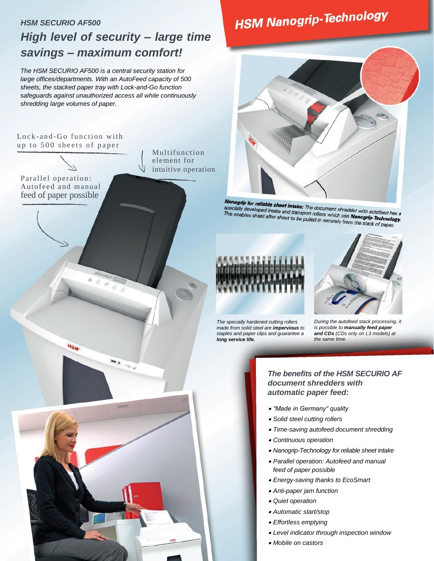### *HSM SECURIO AF500 High level of security – large time savings – maximum comfort!*

*The HSM SECURIO AF500 is a central security station for large offices/departments. With an AutoFeed capacity of 500 sheets, the stacked paper tray with Lock-and-Go function safeguards against unauthorized access all while continuously shredding large volumes of paper.*

### Lock-and-Go function with up to 500 sheets of paper

HSM-

 $=$ 

Multifunction element for intuitive operation

### Parallel operation: Autofeed and manual feed of paper possible

Nanogrip for reliable sheet intake: The document shredder with autofeed has a<br>specially developed intake and transport rollers which use Nanogrip-Technoloms<br>This enables sheet after sheet to be pulled in the building and t specially developed intake. The document shredder with autofeed has a<br>specially developed intake and transport rollers which use **Nanogrip-Technology.**<br>This enables sheet after sheet to be pulled in securely from the stack spocially developed intake and transport rollers which use **Nanogrip-Technolo**<br>This enables sheet after sheet to be pulled in securely from the stack of paper.<br>This enables sheet after sheet to be pulled in securely from t



*staples and paper clips and guarantee a* 

*long service life.*

*During the autofeed stack processing, it is possible to manually feed paper and CDs (CDs only on L3 models) at the same time.*

### *The benefits of the HSM SECURIO AF document shredders with automatic paper feed:*

- *"Made in Germany" quality*
- *Solid steel cutting rollers*
- *Time-saving autofeed document shredding*
- *Continuous operation*
- *Nanogrip-Technology for reliable sheet intake*
- *Parallel operation: Autofeed and manual feed of paper possible*
- *Energy-saving thanks to EcoSmart*
- *Anti-paper jam function*
- *Quiet operation*
- *Automatic start/stop*
- *Effortless emptying*
- *Level indicator through inspection window*
- *Mobile on castors*